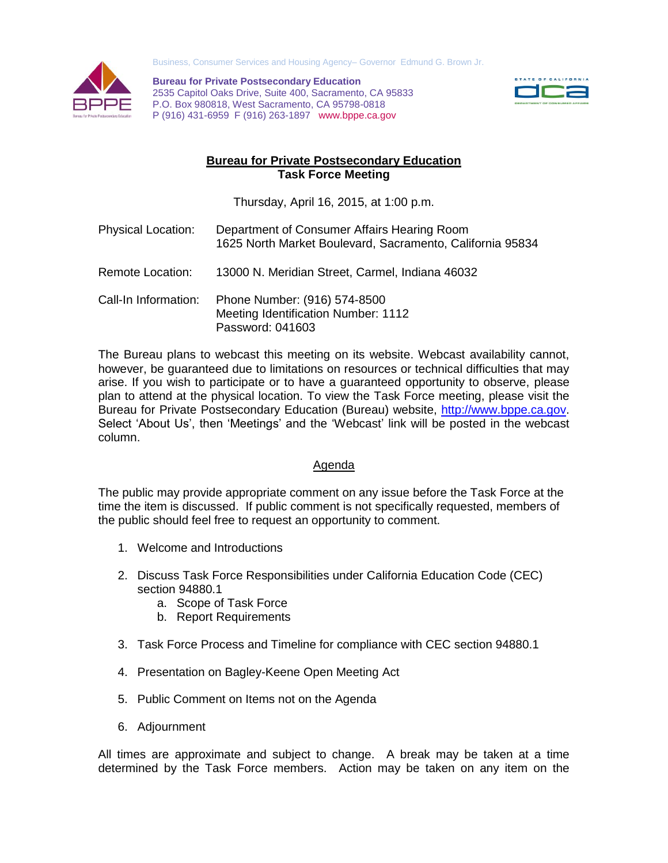

Business, Consumer Services and Housing Agency– Governor Edmund G. Brown Jr.

**Bureau for Private Postsecondary Education** 2535 Capitol Oaks Drive, Suite 400, Sacramento, CA 95833 P.O. Box 980818, West Sacramento, CA 95798-0818 P (916) 431-6959 F (916) 263-1897 www.bppe.ca.gov



## **Bureau for Private Postsecondary Education Task Force Meeting**

Thursday, April 16, 2015, at 1:00 p.m.

- Physical Location: Department of Consumer Affairs Hearing Room 1625 North Market Boulevard, Sacramento, California 95834
- Remote Location: 13000 N. Meridian Street, Carmel, Indiana 46032
- Call-In Information: Phone Number: (916) 574-8500 Meeting Identification Number: 1112 Password: 041603

The Bureau plans to webcast this meeting on its website. Webcast availability cannot, however, be guaranteed due to limitations on resources or technical difficulties that may arise. If you wish to participate or to have a guaranteed opportunity to observe, please plan to attend at the physical location. To view the Task Force meeting, please visit the Bureau for Private Postsecondary Education (Bureau) website, [http://www.bppe.ca.gov.](http://www.bppe.ca.gov/) Select 'About Us', then 'Meetings' and the 'Webcast' link will be posted in the webcast column.

## Agenda

The public may provide appropriate comment on any issue before the Task Force at the time the item is discussed. If public comment is not specifically requested, members of the public should feel free to request an opportunity to comment.

- 1. Welcome and Introductions
- 2. Discuss Task Force Responsibilities under California Education Code (CEC) section 94880.1
	- a. Scope of Task Force
	- b. Report Requirements
- 3. Task Force Process and Timeline for compliance with CEC section 94880.1
- 4. Presentation on Bagley-Keene Open Meeting Act
- 5. Public Comment on Items not on the Agenda
- 6. Adjournment

All times are approximate and subject to change. A break may be taken at a time determined by the Task Force members. Action may be taken on any item on the